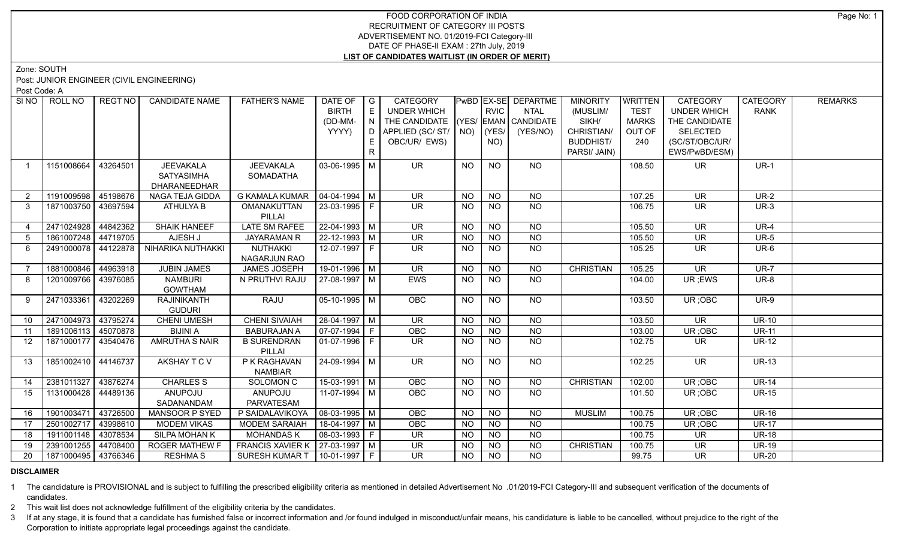## FOOD CORPORATION OF INDIA RECRUITMENT OF CATEGORY III POSTS ADVERTISEMENT NO. 01/2019-FCI Category-III DATE OF PHASE-II EXAM : 27th July, 2019 **LIST OF CANDIDATES WAITLIST (IN ORDER OF MERIT)**

Zone: SOUTH

Post: JUNIOR ENGINEER (CIVIL ENGINEERING)

Post Code: A

| SI <sub>NO</sub> | ROLL NO             | <b>REGT NO</b> | <b>CANDIDATE NAME</b>                                 | <b>FATHER'S NAME</b>                 | DATE OF<br><b>BIRTH</b><br>(DD-MM- | $\overline{G}$<br>E<br>I N I | <b>CATEGORY</b><br>UNDER WHICH<br>THE CANDIDATE |           | <b>RVIC</b>      | <b>PWBD EX-SE DEPARTME</b><br><b>NTAL</b><br>$(YES/EMAN)$ CANDIDATE | <b>MINORITY</b><br>(MUSLIM/<br>SIKH/           | <b>WRITTEN</b><br><b>TEST</b><br><b>MARKS</b> | <b>CATEGORY</b><br><b>UNDER WHICH</b><br>THE CANDIDATE | <b>CATEGORY</b><br><b>RANK</b> | <b>REMARKS</b> |
|------------------|---------------------|----------------|-------------------------------------------------------|--------------------------------------|------------------------------------|------------------------------|-------------------------------------------------|-----------|------------------|---------------------------------------------------------------------|------------------------------------------------|-----------------------------------------------|--------------------------------------------------------|--------------------------------|----------------|
|                  |                     |                |                                                       |                                      | YYYY)                              | E.<br>R                      | D APPLIED (SC/ ST/ NO)<br>OBC/UR/ EWS)          |           | $ $ (YES/<br>NO) | (YES/NO)                                                            | CHRISTIAN/<br><b>BUDDHIST/</b><br>PARSI/ JAIN) | OUT OF<br>240                                 | <b>SELECTED</b><br>(SC/ST/OBC/UR/<br>EWS/PwBD/ESM)     |                                |                |
| $\overline{1}$   | 1151008664          | 43264501       | <b>JEEVAKALA</b><br><b>SATYASIMHA</b><br>DHARANEEDHAR | <b>JEEVAKALA</b><br><b>SOMADATHA</b> | 03-06-1995 M                       |                              | <b>UR</b>                                       | NO.       | <b>NO</b>        | NO                                                                  |                                                | 108.50                                        | UR.                                                    | $UR-1$                         |                |
| $\overline{2}$   | 1191009598 45198676 |                | NAGA TEJA GIDDA                                       | <b>G KAMALA KUMAR</b>                | $\vert$ 04-04-1994 $\vert$ M       |                              | UR                                              | <b>NO</b> | <b>NO</b>        | <b>NO</b>                                                           |                                                | 107.25                                        | <b>UR</b>                                              | $UR-2$                         |                |
| $\mathbf{3}$     | 1871003750 43697594 |                | ATHULYA B                                             | OMANAKUTTAN<br>PILLAI                | 23-03-1995 F                       |                              | $\overline{\mathsf{UR}}$                        | <b>NO</b> | <b>NO</b>        | <b>NO</b>                                                           |                                                | 106.75                                        | <b>UR</b>                                              | $UR-3$                         |                |
| $\overline{4}$   | 2471024928          | 44842362       | <b>SHAIK HANEEF</b>                                   | <b>LATE SM RAFEE</b>                 | $\sqrt{22-04-1993}$ M              |                              | $\overline{\mathsf{UR}}$                        | <b>NO</b> | <b>NO</b>        | $N$ O                                                               |                                                | 105.50                                        | $\overline{\mathsf{UR}}$                               | $UR-4$                         |                |
| $5^{\circ}$      | 1861007248 44719705 |                | AJESH J                                               | <b>JAYARAMAN R</b>                   | 22-12-1993 M                       |                              | <b>UR</b>                                       | <b>NO</b> | <b>NO</b>        | <b>NO</b>                                                           |                                                | 105.50                                        | <b>UR</b>                                              | <b>UR-5</b>                    |                |
| 6                | 2491000078 44122878 |                | NIHARIKA NUTHAKKI                                     | NUTHAKKI<br><b>NAGARJUN RAO</b>      | 12-07-1997 F                       |                              | UR.                                             | <b>NO</b> | <b>NO</b>        | <b>NO</b>                                                           |                                                | 105.25                                        | <b>UR</b>                                              | $UR-6$                         |                |
|                  | 1881000846 44963918 |                | <b>JUBIN JAMES</b>                                    | JAMES JOSEPH                         | 19-01-1996 M                       |                              | <b>UR</b>                                       | <b>NO</b> | <b>NO</b>        | <b>NO</b>                                                           | <b>CHRISTIAN</b>                               | 105.25                                        | <b>UR</b>                                              | <b>UR-7</b>                    |                |
| 8                | 1201009766          | 43976085       | <b>NAMBURI</b><br><b>GOWTHAM</b>                      | N PRUTHVI RAJU                       | 27-08-1997   M                     |                              | <b>EWS</b>                                      | <b>NO</b> | <b>NO</b>        | NO                                                                  |                                                | 104.00                                        | UR ;EWS                                                | <b>UR-8</b>                    |                |
| 9                | 2471033361 43202269 |                | <b>RAJINIKANTH</b><br><b>GUDURI</b>                   | RAJU                                 | $05-10-1995$ M                     |                              | OBC                                             | <b>NO</b> | <b>NO</b>        | NO                                                                  |                                                | 103.50                                        | UR; OBC                                                | $UR-9$                         |                |
| 10               | 2471004973 43795274 |                | <b>CHENI UMESH</b>                                    | <b>CHENI SIVAIAH</b>                 | 28-04-1997 M                       |                              | $\overline{\mathsf{UR}}$                        | <b>NO</b> | <b>NO</b>        | <b>NO</b>                                                           |                                                | 103.50                                        | $\overline{\mathsf{UR}}$                               | $UR-10$                        |                |
| 11               | 1891006113 45070878 |                | <b>BIJINIA</b>                                        | <b>BABURAJAN A</b>                   | $\boxed{07-07-1994}$ F             |                              | OBC                                             | <b>NO</b> | <b>NO</b>        | <b>NO</b>                                                           |                                                | 103.00                                        | UR; OBC                                                | $UR-11$                        |                |
| 12               | 1871000177 43540476 |                | AMRUTHA S NAIR                                        | <b>B SURENDRAN</b><br>PILLAI         | 01-07-1996   F                     |                              | $\overline{\mathsf{UR}}$                        | <b>NO</b> | NO.              | <b>NO</b>                                                           |                                                | 102.75                                        | <b>UR</b>                                              | <b>UR-12</b>                   |                |
| 13               | 1851002410 44146737 |                | AKSHAY T C V                                          | P K RAGHAVAN<br><b>NAMBIAR</b>       | $\sqrt{24-09-1994}$ M              |                              | UR                                              | <b>NO</b> | <b>NO</b>        | NO.                                                                 |                                                | 102.25                                        | UR                                                     | <b>UR-13</b>                   |                |
| 14               | 2381011327 43876274 |                | <b>CHARLES S</b>                                      | SOLOMON C                            | $15-03-1991$ M                     |                              | <b>OBC</b>                                      | <b>NO</b> | <b>NO</b>        | <b>NO</b>                                                           | <b>CHRISTIAN</b>                               | 102.00                                        | UR; OBC                                                | <b>UR-14</b>                   |                |
| 15               | 1131000428          | 44489136       | <b>ANUPOJU</b><br>SADANANDAM                          | ANUPOJU<br>PARVATESAM                | 11-07-1994 M                       |                              | <b>OBC</b>                                      | <b>NO</b> | <b>NO</b>        | <b>NO</b>                                                           |                                                | 101.50                                        | UR; OBC                                                | <b>UR-15</b>                   |                |
| 16               | 1901003471          | 43726500       | MANSOOR P SYED                                        | P SAIDALAVIKOYA                      | $\sqrt{08-03-1995}$ M              |                              | OBC                                             | <b>NO</b> | <b>NO</b>        | <b>NO</b>                                                           | <b>MUSLIM</b>                                  | 100.75                                        | UR; OBC                                                | $UR-16$                        |                |
| 17               | 2501002717          | 43998610       | <b>MODEM VIKAS</b>                                    | <b>MODEM SARAIAH</b>                 | 18-04-1997   M                     |                              | <b>OBC</b>                                      | <b>NO</b> | <b>NO</b>        | <b>NO</b>                                                           |                                                | 100.75                                        | UR; OBC                                                | <b>UR-17</b>                   |                |
| 18               | 1911001148          | 43078534       | SILPA MOHAN K                                         | <b>MOHANDASK</b>                     | 08-03-1993 F                       |                              | <b>UR</b>                                       | <b>NO</b> | <b>NO</b>        | <b>NO</b>                                                           |                                                | 100.75                                        | <b>UR</b>                                              | <b>UR-18</b>                   |                |
| 19               | 2391001255 44708400 |                | <b>ROGER MATHEW F</b>                                 | <b>FRANCIS XAVIER K</b>              | $ 27-03-1997 M$                    |                              | <b>UR</b>                                       | <b>NO</b> | <b>NO</b>        | <b>NO</b>                                                           | <b>CHRISTIAN</b>                               | 100.75                                        | <b>UR</b>                                              | <b>UR-19</b>                   |                |
| 20               | 1871000495 43766346 |                | <b>RESHMAS</b>                                        | <b>SURESH KUMAR T</b>                | $10-01-1997$ F                     |                              | <b>UR</b>                                       | <b>NO</b> | <b>NO</b>        | <b>NO</b>                                                           |                                                | 99.75                                         | <b>UR</b>                                              | <b>UR-20</b>                   |                |

## **DISCLAIMER**

1 The candidature is PROVISIONAL and is subject to fulfilling the prescribed eligibility criteria as mentioned in detailed Advertisement No .01/2019-FCI Category-III and subsequent verification of the documents of candidates.

2 This wait list does not acknowledge fulfillment of the eligibility criteria by the candidates.

3 If at any stage, it is found that a candidate has furnished false or incorrect information and /or found indulged in misconduct/unfair means, his candidature is liable to be cancelled, without prejudice to the right of t Corporation to initiate appropriate legal proceedings against the candidate.

Page No: 1